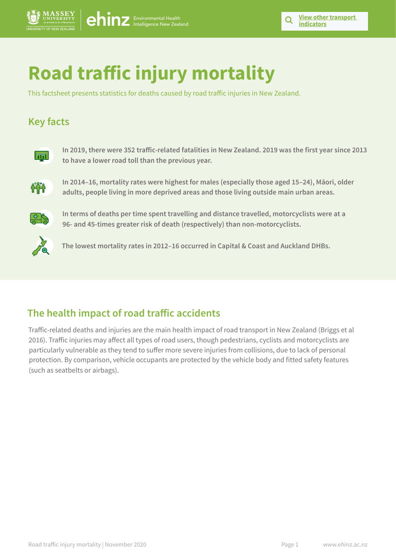# **Road traffic injury mortality**

This factsheet presents statistics for deaths caused by road traffic injuries in New Zealand.

# **Key facts**



**In 2019, there were 352 traffic-related fatalities in New Zealand. 2019 was the first year since 2013 to have a lower road toll than the previous year.**



**In 2014–16, mortality rates were highest for males (especially those aged 15–24), Māori, older adults, people living in more deprived areas and those living outside main urban areas.** 



**In terms of deaths per time spent travelling and distance travelled, motorcyclists were at a 96- and 45-times greater risk of death (respectively) than non-motorcyclists.** 



**The lowest mortality rates in 2012–16 occurred in Capital & Coast and Auckland DHBs.**

# **The health impact of road traffic accidents**

Traffic-related deaths and injuries are the main health impact of road transport in New Zealand (Briggs et al 2016). Traffic injuries may affect all types of road users, though pedestrians, cyclists and motorcyclists are particularly vulnerable as they tend to suffer more severe injuries from collisions, due to lack of personal protection. By comparison, vehicle occupants are protected by the vehicle body and fitted safety features (such as seatbelts or airbags).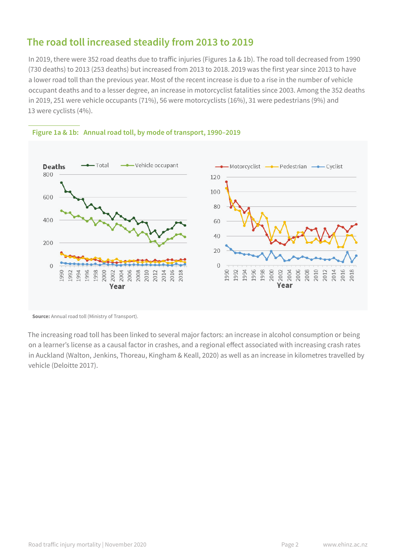# **The road toll increased steadily from 2013 to 2019**

In 2019, there were 352 road deaths due to traffic injuries (Figures 1a & 1b). The road toll decreased from 1990 (730 deaths) to 2013 (253 deaths) but increased from 2013 to 2018. 2019 was the first year since 2013 to have a lower road toll than the previous year. Most of the recent increase is due to a rise in the number of vehicle occupant deaths and to a lesser degree, an increase in motorcyclist fatalities since 2003. Among the 352 deaths in 2019, 251 were vehicle occupants (71%), 56 were motorcyclists (16%), 31 were pedestrians (9%) and 13 were cyclists (4%).



#### **Figure 1a & 1b: Annual road toll, by mode of transport, 1990–2019**

**Source:** Annual road toll (Ministry of Transport).

The increasing road toll has been linked to several major factors: an increase in alcohol consumption or being on a learner's license as a causal factor in crashes, and a regional effect associated with increasing crash rates in Auckland (Walton, Jenkins, Thoreau, Kingham & Keall, 2020) as well as an increase in kilometres travelled by vehicle (Deloitte 2017).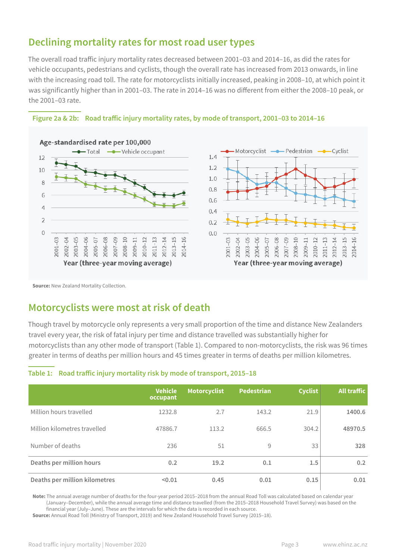# **Declining mortality rates for most road user types**

The overall road traffic injury mortality rates decreased between 2001–03 and 2014–16, as did the rates for vehicle occupants, pedestrians and cyclists, though the overall rate has increased from 2013 onwards, in line with the increasing road toll. The rate for motorcyclists initially increased, peaking in 2008–10, at which point it was significantly higher than in 2001–03. The rate in 2014–16 was no different from either the 2008–10 peak, or the 2001–03 rate.

#### **Figure 2a & 2b: Road traffic injury mortality rates, by mode of transport, 2001–03 to 2014–16**



**Source: New Zealand Mortality Collection.** 

### **Motorcyclists were most at risk of death**

Though travel by motorcycle only represents a very small proportion of the time and distance New Zealanders travel every year, the risk of fatal injury per time and distance travelled was substantially higher for motorcyclists than any other mode of transport (Table 1). Compared to non-motorcyclists, the risk was 96 times greater in terms of deaths per million hours and 45 times greater in terms of deaths per million kilometres.

#### **Table 1: Road traffic injury mortality risk by mode of transport, 2015–18**

|                               | <b>Vehicle</b><br>occupant | <b>Motorcyclist</b> | <b>Pedestrian</b> | <b>Cyclist</b> | <b>All traffic</b> |
|-------------------------------|----------------------------|---------------------|-------------------|----------------|--------------------|
| Million hours travelled       | 1232.8                     | 2.7                 | 143.2             | 21.9           | 1400.6             |
| Million kilometres travelled  | 47886.7                    | 113.2               | 666.5             | 304.2          | 48970.5            |
| Number of deaths              | 236                        | 51                  | 9                 | 33             | 328                |
| Deaths per million hours      | 0.2                        | 19.2                | 0.1               | 1.5            | 0.2                |
| Deaths per million kilometres | < 0.01                     | 0.45                | 0.01              | 0.15           | 0.01               |

**Note:** The annual average number of deaths for the four-year period 2015–2018 from the annual Road Toll was calculated based on calendar year (January–December), while the annual average time and distance travelled (from the 2015–2018 Household Travel Survey) was based on the financial year (July–June). These are the intervals for which the data is recorded in each source.

**Source:** Annual Road Toll (Ministry of Transport, 2019) and New Zealand Household Travel Survey (2015–18).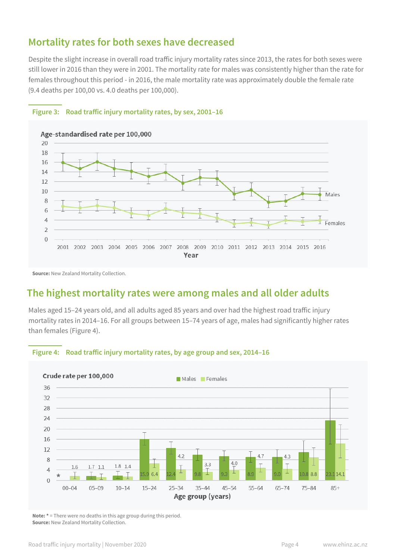### **Mortality rates for both sexes have decreased**

Despite the slight increase in overall road traffic injury mortality rates since 2013, the rates for both sexes were still lower in 2016 than they were in 2001. The mortality rate for males was consistently higher than the rate for females throughout this period - in 2016, the male mortality rate was approximately double the female rate (9.4 deaths per 100,00 vs. 4.0 deaths per 100,000).



#### **Figure 3: Road traffic injury mortality rates, by sex, 2001–16**

**Source:** New Zealand Mortality Collection.

# **The highest mortality rates were among males and all older adults**

Males aged 15–24 years old, and all adults aged 85 years and over had the highest road traffic injury mortality rates in 2014–16. For all groups between 15–74 years of age, males had significantly higher rates than females (Figure 4).



#### **Figure 4: Road traffic injury mortality rates, by age group and sex, 2014–16**

**Note: \*** = There were no deaths in this age group during this period. **Source:** New Zealand Mortality Collection.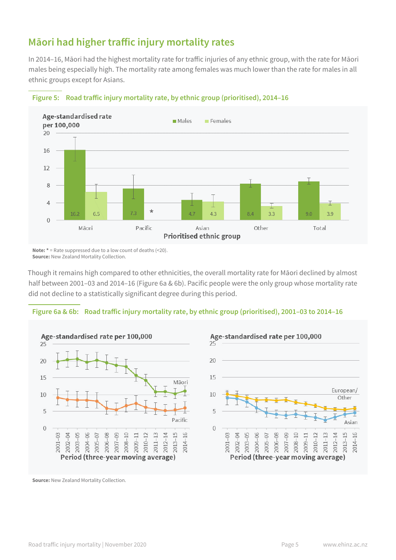# **Māori had higher traffic injury mortality rates**

In 2014–16, Māori had the highest mortality rate for traffic injuries of any ethnic group, with the rate for Māori males being especially high. The mortality rate among females was much lower than the rate for males in all ethnic groups except for Asians.



**Figure 5: Road traffic injury mortality rate, by ethnic group (prioritised), 2014–16**

**Note: \*** = Rate suppressed due to a low count of deaths (<20). **Source:** New Zealand Mortality Collection.

Though it remains high compared to other ethnicities, the overall mortality rate for Māori declined by almost half between 2001–03 and 2014–16 (Figure 6a & 6b). Pacific people were the only group whose mortality rate did not decline to a statistically significant degree during this period.

#### **Figure 6a & 6b: Road traffic injury mortality rate, by ethnic group (prioritised), 2001–03 to 2014–16**





**Source:** New Zealand Mortality Collection.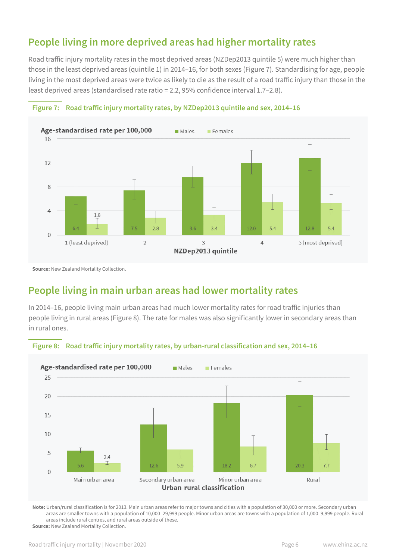# **People living in more deprived areas had higher mortality rates**

Road traffic injury mortality rates in the most deprived areas (NZDep2013 quintile 5) were much higher than those in the least deprived areas (quintile 1) in 2014–16, for both sexes (Figure 7). Standardising for age, people living in the most deprived areas were twice as likely to die as the result of a road traffic injury than those in the least deprived areas (standardised rate ratio = 2.2, 95% confidence interval 1.7–2.8).





**Source:** New Zealand Mortality Collection.

# **People living in main urban areas had lower mortality rates**

In 2014–16, people living main urban areas had much lower mortality rates for road traffic injuries than people living in rural areas (Figure 8). The rate for males was also significantly lower in secondary areas than in rural ones.





**Note:** Urban/rural classification is for 2013. Main urban areas refer to major towns and cities with a population of 30,000 or more. Secondary urban areas are smaller towns with a population of 10,000–29,999 people. Minor urban areas are towns with a population of 1,000–9,999 people. Rural areas include rural centres, and rural areas outside of these.

**Source:** New Zealand Mortality Collection.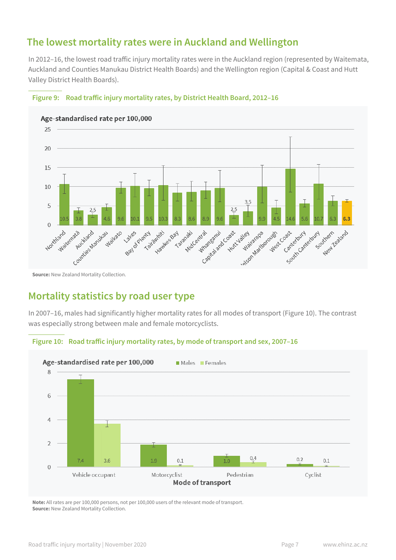# **The lowest mortality rates were in Auckland and Wellington**

In 2012–16, the lowest road traffic injury mortality rates were in the Auckland region (represented by Waitemata, Auckland and Counties Manukau District Health Boards) and the Wellington region (Capital & Coast and Hutt Valley District Health Boards).



#### **Figure 9: Road traffic injury mortality rates, by District Health Board, 2012–16**

**Source:** New Zealand Mortality Collection.

# **Mortality statistics by road user type**

In 2007–16, males had significantly higher mortality rates for all modes of transport (Figure 10). The contrast was especially strong between male and female motorcyclists.

#### **Figure 10: Road traffic injury mortality rates, by mode of transport and sex, 2007–16**



**Note:** All rates are per 100,000 persons, not per 100,000 users of the relevant mode of transport. **Source:** New Zealand Mortality Collection.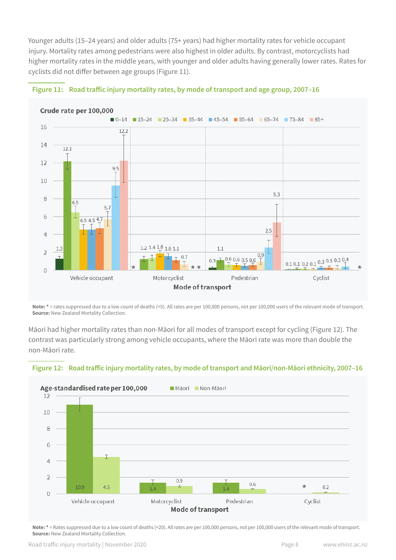Younger adults (15–24 years) and older adults (75+ years) had higher mortality rates for vehicle occupant injury. Mortality rates among pedestrians were also highest in older adults. By contrast, motorcyclists had higher mortality rates in the middle years, with younger and older adults having generally lower rates. Rates for cyclists did not differ between age groups (Figure 11).





Note: \* = rates suppressed due to a low count of deaths (<5). All rates are per 100,000 persons, not per 100,000 users of the relevant mode of transport. **Source: New Zealand Mortality Collection.** 

Māori had higher mortality rates than non-Māori for all modes of transport except for cycling (Figure 12). The contrast was particularly strong among vehicle occupants, where the Māori rate was more than double the non-Māori rate.





**Note: \*** = Rates suppressed due to a low count of deaths (<20). All rates are per 100,000 persons, not per 100,000 users of the relevant mode of transport. **Source:** New Zealand Mortality Collection.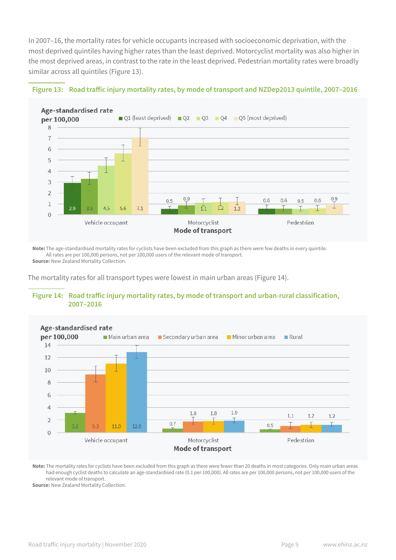In 2007–16, the mortality rates for vehicle occupants increased with socioeconomic deprivation, with the most deprived quintiles having higher rates than the least deprived. Motorcyclist mortality was also higher in the most deprived areas, in contrast to the rate in the least deprived. Pedestrian mortality rates were broadly similar across all quintiles (Figure 13).



#### **Figure 13: Road traffic injury mortality rates, by mode of transport and NZDep2013 quintile, 2007–2016**

**Note:** The age-standardised mortality rates for cyclists have been excluded from this graph as there were few deaths in every quintile. All rates are per 100,000 persons, not per 100,000 users of the relevant mode of transport. **Source:** New Zealand Mortality Collection.

The mortality rates for all transport types were lowest in main urban areas (Figure 14).





**Note:** The mortality rates for cyclists have been excluded from this graph as there were fewer than 20 deaths in most categories. Only main urban areas had enough cyclist deaths to calculate an age-standardised rate (0.1 per 100,000). All rates are per 100,000 persons, not per 100,000 users of the relevant mode of transport.

**Source:** New Zealand Mortality Collection.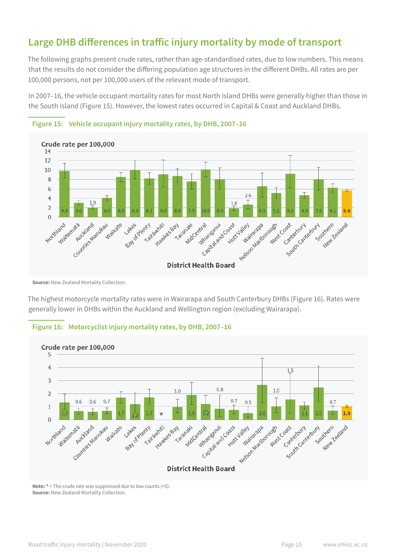# **Large DHB differences in traffic injury mortality by mode of transport**

The following graphs present crude rates, rather than age-standardised rates, due to low numbers. This means that the results do not consider the differing population age structures in the different DHBs. All rates are per 100,000 persons, not per 100,000 users of the relevant mode of transport.

In 2007–16, the vehicle occupant mortality rates for most North Island DHBs were generally higher than those in the South Island (Figure 15). However, the lowest rates occurred in Capital & Coast and Auckland DHBs.





**Source:** New Zealand Mortality Collection.

The highest motorcycle mortality rates were in Wairarapa and South Canterbury DHBs (Figure 16). Rates were generally lower in DHBs within the Auckland and Wellington region (excluding Wairarapa).



#### **Figure 16: Motorcyclist injury mortality rates, by DHB, 2007–16**

**Note: \*** = The crude rate was suppressed due to low counts (<5). **Source: New Zealand Mortality Collection.**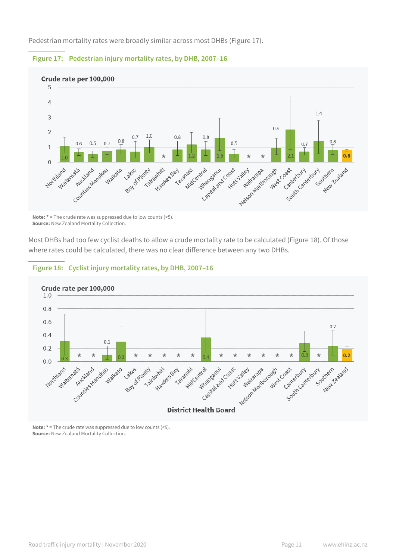Pedestrian mortality rates were broadly similar across most DHBs (Figure 17).



#### **Figure 17: Pedestrian injury mortality rates, by DHB, 2007–16**

**Note: \*** = The crude rate was suppressed due to low counts (<5). **Source:** New Zealand Mortality Collection.

Most DHBs had too few cyclist deaths to allow a crude mortality rate to be calculated (Figure 18). Of those where rates could be calculated, there was no clear difference between any two DHBs.



#### **Figure 18: Cyclist injury mortality rates, by DHB, 2007–16**

**Note: \*** = The crude rate was suppressed due to low counts (<5). **Source:** New Zealand Mortality Collection.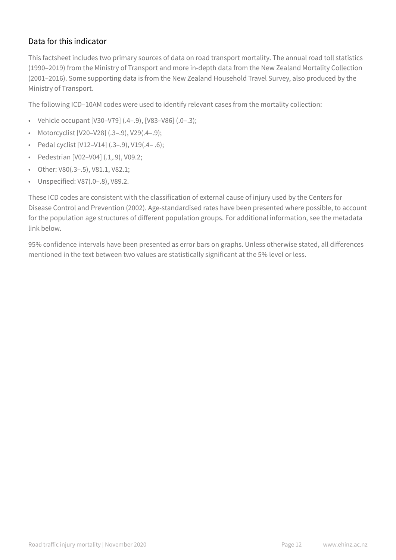### Data for this indicator

This factsheet includes two primary sources of data on road transport mortality. The annual road toll statistics (1990–2019) from the Ministry of Transport and more in-depth data from the New Zealand Mortality Collection (2001–2016). Some supporting data is from the New Zealand Household Travel Survey, also produced by the Ministry of Transport.

The following ICD–10AM codes were used to identify relevant cases from the mortality collection:

- Vehicle occupant  $[V30-V79]$   $(.4-.9)$ ,  $[V83-V86]$   $(.0-.3)$ ;
- Motorcyclist [V20–V28] (.3–.9), V29(.4–.9);
- Pedal cyclist [V12–V14] (.3–.9), V19(.4– .6);
- Pedestrian [V02–V04] (.1,.9), V09.2;
- Other: V80(.3–.5), V81.1, V82.1;
- Unspecified: V87(.0–.8), V89.2.

These ICD codes are consistent with the classification of external cause of injury used by the Centers for Disease Control and Prevention (2002). Age-standardised rates have been presented where possible, to account for the population age structures of different population groups. For additional information, see the metadata link below.

95% confidence intervals have been presented as error bars on graphs. Unless otherwise stated, all differences mentioned in the text between two values are statistically significant at the 5% level or less.